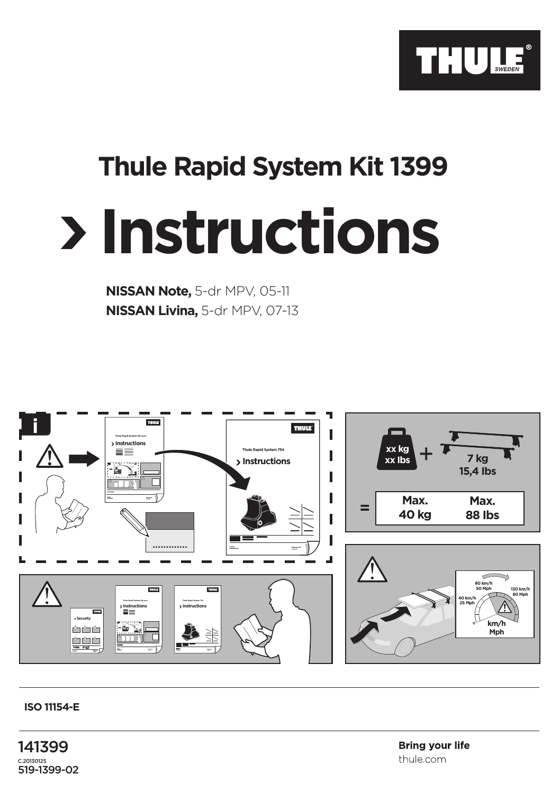

## **Thule Rapid System Kit 1399**

## **Instructions**

**NISSAN Note,** 5-dr MPV, 05-11 **NISSAN Livina,** 5-dr MPV, 07-13



## **ISO 11154-E**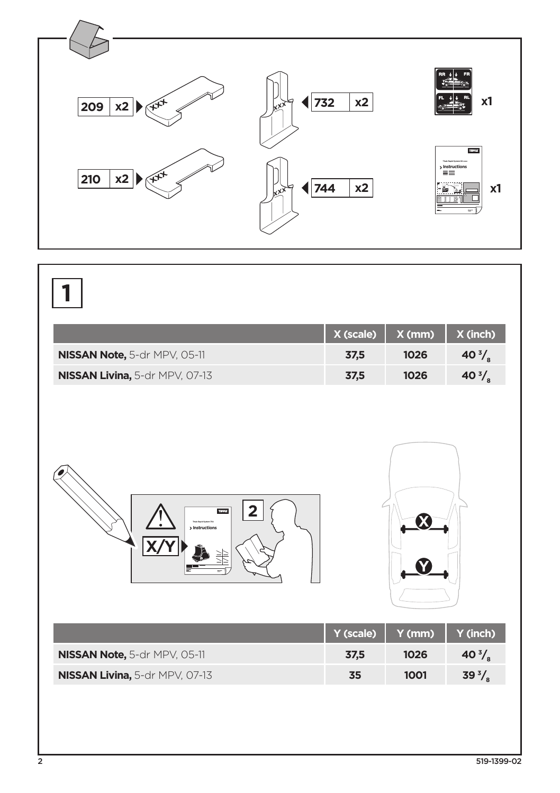

|                                                              | X (scale) | X(mm)  | X (inch)         |
|--------------------------------------------------------------|-----------|--------|------------------|
| NISSAN Note, 5-dr MPV, 05-11                                 | 37,5      | 1026   | 40 $\frac{3}{8}$ |
| NISSAN Livina, 5-dr MPV, 07-13                               | 37,5      | 1026   | 40 $\frac{3}{8}$ |
| <b>THULS</b><br>2<br>Their Bank System 754<br>> Instructions | Y (scale) | Y (mm) | Y (inch)         |
| NISSAN Note, 5-dr MPV, 05-11                                 | 37,5      | 1026   | 40 $\frac{3}{8}$ |
| NISSAN Livina, 5-dr MPV, 07-13                               | 35        | 1001   | 39 $\frac{3}{8}$ |
|                                                              |           |        |                  |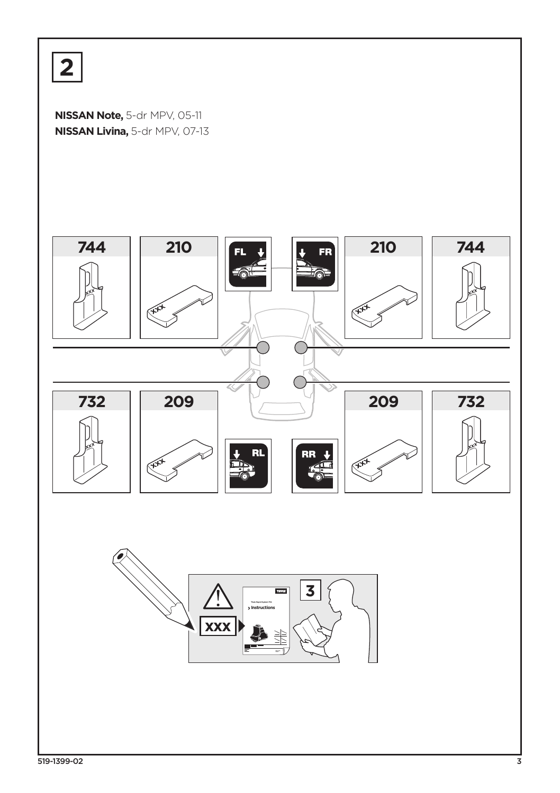